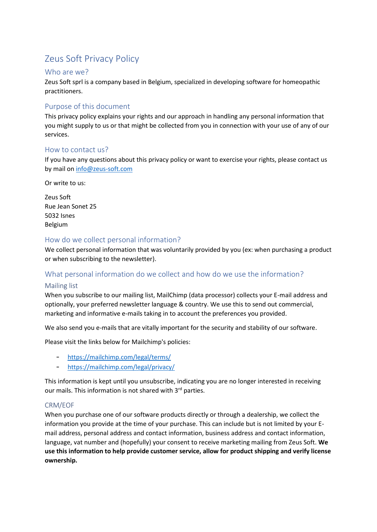# Zeus Soft Privacy Policy

## Who are we?

Zeus Soft sprl is a company based in Belgium, specialized in developing software for homeopathic practitioners.

## Purpose of this document

This privacy policy explains your rights and our approach in handling any personal information that you might supply to us or that might be collected from you in connection with your use of any of our services.

## How to contact us?

If you have any questions about this privacy policy or want to exercise your rights, please contact us by mail on [info@zeus-soft.com](mailto:info@zeus-soft.com)

Or write to us:

Zeus Soft Rue Jean Sonet 25 5032 Isnes Belgium

## How do we collect personal information?

We collect personal information that was voluntarily provided by you (ex: when purchasing a product or when subscribing to the newsletter).

# What personal information do we collect and how do we use the information?

## Mailing list

When you subscribe to our mailing list, MailChimp (data processor) collects your E-mail address and optionally, your preferred newsletter language & country. We use this to send out commercial, marketing and informative e-mails taking in to account the preferences you provided.

We also send you e-mails that are vitally important for the security and stability of our software.

Please visit the links below for Mailchimp's policies:

- <https://mailchimp.com/legal/terms/>
- <https://mailchimp.com/legal/privacy/>

This information is kept until you unsubscribe, indicating you are no longer interested in receiving our mails. This information is not shared with 3rd parties.

## CRM/EOF

When you purchase one of our software products directly or through a dealership, we collect the information you provide at the time of your purchase. This can include but is not limited by your Email address, personal address and contact information, business address and contact information, language, vat number and (hopefully) your consent to receive marketing mailing from Zeus Soft. **We use this information to help provide customer service, allow for product shipping and verify license ownership.**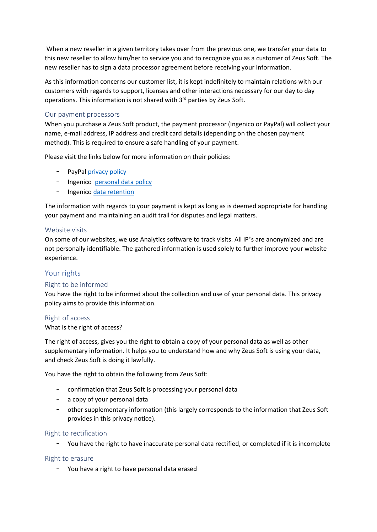When a new reseller in a given territory takes over from the previous one, we transfer your data to this new reseller to allow him/her to service you and to recognize you as a customer of Zeus Soft. The new reseller has to sign a data processor agreement before receiving your information.

As this information concerns our customer list, it is kept indefinitely to maintain relations with our customers with regards to support, licenses and other interactions necessary for our day to day operations. This information is not shared with 3<sup>rd</sup> parties by Zeus Soft.

## Our payment processors

When you purchase a Zeus Soft product, the payment processor (Ingenico or PayPal) will collect your name, e-mail address, IP address and credit card details (depending on the chosen payment method). This is required to ensure a safe handling of your payment.

Please visit the links below for more information on their policies:

- PayPa[l privacy policy](https://www.paypal.com/us/webapps/mpp/ua/privacy-full)
- Ingenico [personal data policy](https://www.ingenico.com/epayments/legal/account-holders)
- Ingenico [data retention](https://payment-services.ingenico.com/int/en/ogone/support/guides/user%20guides/data%20retention%20of%20personal%20data)

The information with regards to your payment is kept as long as is deemed appropriate for handling your payment and maintaining an audit trail for disputes and legal matters.

#### Website visits

On some of our websites, we use Analytics software to track visits. All IP's are anonymized and are not personally identifiable. The gathered information is used solely to further improve your website experience.

## Your rights

## Right to be informed

You have the right to be informed about the collection and use of your personal data. This privacy policy aims to provide this information.

#### Right of access

#### What is the right of access?

The right of access, gives you the right to obtain a copy of your personal data as well as other supplementary information. It helps you to understand how and why Zeus Soft is using your data, and check Zeus Soft is doing it lawfully.

You have the right to obtain the following from Zeus Soft:

- confirmation that Zeus Soft is processing your personal data
- a copy of your personal data
- other supplementary information (this largely corresponds to the information that Zeus Soft provides in this privacy notice).

## Right to rectification

- You have the right to have inaccurate personal data rectified, or completed if it is incomplete

#### Right to erasure

- You have a right to have personal data erased